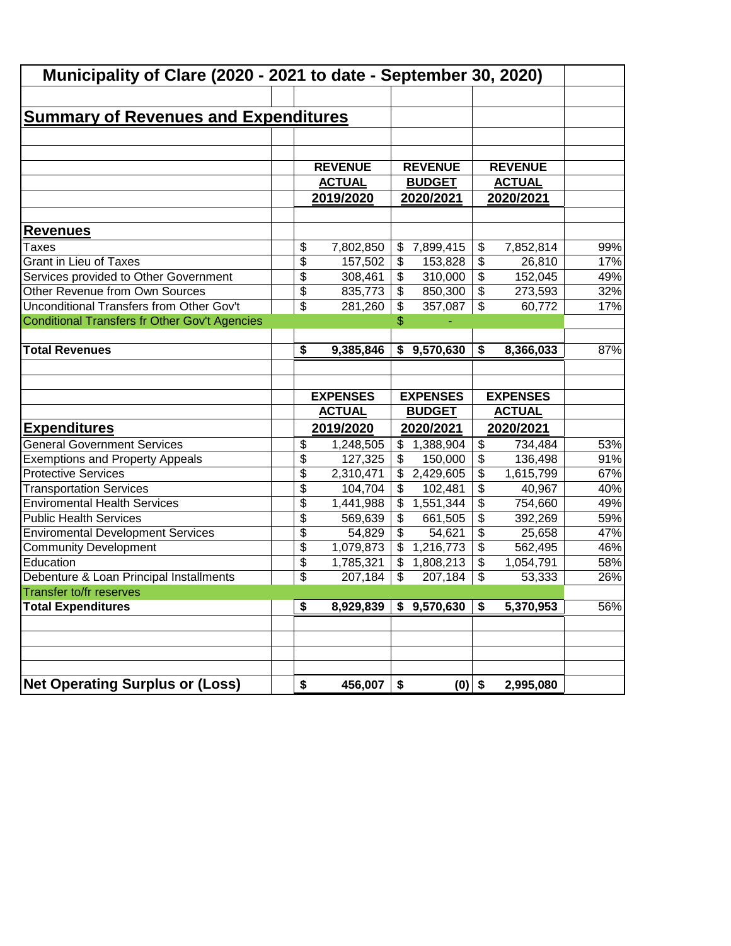| Municipality of Clare (2020 - 2021 to date - September 30, 2020) |                                  |                           |                                  |                                  |     |
|------------------------------------------------------------------|----------------------------------|---------------------------|----------------------------------|----------------------------------|-----|
|                                                                  |                                  |                           |                                  |                                  |     |
| <b>Summary of Revenues and Expenditures</b>                      |                                  |                           |                                  |                                  |     |
|                                                                  |                                  |                           |                                  |                                  |     |
|                                                                  |                                  |                           |                                  |                                  |     |
|                                                                  | <b>REVENUE</b>                   |                           | <b>REVENUE</b>                   | <b>REVENUE</b>                   |     |
|                                                                  | <b>ACTUAL</b>                    |                           | <b>BUDGET</b>                    | <b>ACTUAL</b>                    |     |
|                                                                  | 2019/2020                        |                           | 2020/2021                        | 2020/2021                        |     |
|                                                                  |                                  |                           |                                  |                                  |     |
| <b>Revenues</b>                                                  |                                  |                           |                                  |                                  |     |
| Taxes                                                            | \$<br>7,802,850                  | \$                        | 7,899,415                        | \$<br>7,852,814                  | 99% |
| <b>Grant in Lieu of Taxes</b>                                    | \$<br>157,502                    | $\frac{1}{2}$             | 153,828                          | \$<br>26,810                     | 17% |
| Services provided to Other Government                            | \$<br>308,461                    | \$                        | 310,000                          | \$<br>152,045                    | 49% |
| Other Revenue from Own Sources                                   | \$<br>835,773                    | $\boldsymbol{\mathsf{S}}$ | 850,300                          | \$<br>273,593                    | 32% |
| <b>Unconditional Transfers from Other Gov't</b>                  | \$<br>281,260                    | \$                        | 357,087                          | \$<br>60,772                     | 17% |
| Conditional Transfers fr Other Gov't Agencies                    |                                  | \$                        |                                  |                                  |     |
|                                                                  |                                  |                           |                                  |                                  |     |
| <b>Total Revenues</b>                                            | \$<br>9,385,846                  | \$                        | 9,570,630                        | \$<br>8,366,033                  | 87% |
|                                                                  | <b>EXPENSES</b><br><b>ACTUAL</b> |                           | <b>EXPENSES</b><br><b>BUDGET</b> | <b>EXPENSES</b><br><b>ACTUAL</b> |     |
| <b>Expenditures</b>                                              | 2019/2020                        |                           | 2020/2021                        | 2020/2021                        |     |
| <b>General Government Services</b>                               | \$<br>1,248,505                  | \$                        | 1,388,904                        | \$<br>734,484                    | 53% |
| <b>Exemptions and Property Appeals</b>                           | \$<br>127,325                    | \$                        | 150,000                          | \$<br>136,498                    | 91% |
| <b>Protective Services</b>                                       | \$<br>2,310,471                  | \$                        | 2,429,605                        | \$<br>1,615,799                  | 67% |
| <b>Transportation Services</b>                                   | \$<br>104,704                    | \$                        | 102,481                          | \$<br>40,967                     | 40% |
| <b>Enviromental Health Services</b>                              | \$<br>1,441,988                  | \$                        | 1,551,344                        | \$<br>754,660                    | 49% |
| <b>Public Health Services</b>                                    | \$<br>569,639                    | \$                        | 661,505                          | \$<br>392,269                    | 59% |
| <b>Enviromental Development Services</b>                         | \$<br>54,829                     | \$                        | 54,621                           | \$<br>25,658                     | 47% |
| <b>Community Development</b>                                     | \$<br>1,079,873                  | \$                        | 1,216,773                        | \$<br>562,495                    | 46% |
| Education                                                        | \$<br>1,785,321                  | $\mathfrak{S}$            | 1,808,213                        | \$<br>1,054,791                  | 58% |
| Debenture & Loan Principal Installments                          | \$<br>207,184                    | $\boldsymbol{\mathsf{S}}$ | 207,184                          | \$<br>53,333                     | 26% |
| Transfer to/fr reserves                                          |                                  |                           |                                  |                                  |     |
| <b>Total Expenditures</b>                                        | \$<br>8,929,839                  |                           | \$9,570,630                      | \$<br>5,370,953                  | 56% |
|                                                                  |                                  |                           |                                  |                                  |     |
|                                                                  |                                  |                           |                                  |                                  |     |
|                                                                  |                                  |                           |                                  |                                  |     |
|                                                                  |                                  |                           |                                  |                                  |     |
| <b>Net Operating Surplus or (Loss)</b>                           | \$<br>456,007                    | \$                        | $(0)$ \$                         | 2,995,080                        |     |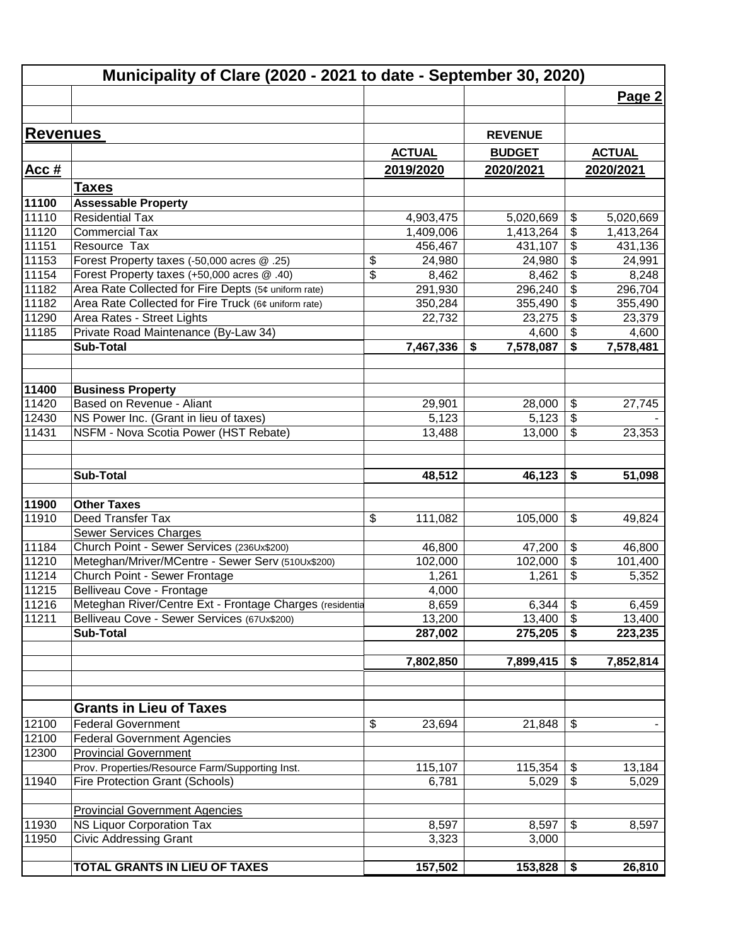|                 | Municipality of Clare (2020 - 2021 to date - September 30, 2020) |               |                 |                            |               |
|-----------------|------------------------------------------------------------------|---------------|-----------------|----------------------------|---------------|
|                 |                                                                  |               |                 |                            | Page 2        |
|                 |                                                                  |               |                 |                            |               |
| <b>Revenues</b> |                                                                  |               | <b>REVENUE</b>  |                            |               |
|                 |                                                                  | <b>ACTUAL</b> | <b>BUDGET</b>   |                            | <b>ACTUAL</b> |
| Acc $#$         |                                                                  | 2019/2020     | 2020/2021       |                            | 2020/2021     |
|                 | <u>Taxes</u>                                                     |               |                 |                            |               |
| 11100           | <b>Assessable Property</b>                                       |               |                 |                            |               |
| 11110           | <b>Residential Tax</b>                                           | 4,903,475     | 5,020,669       | \$                         | 5,020,669     |
| 11120           | <b>Commercial Tax</b>                                            | 1,409,006     | 1,413,264       | \$                         | 1,413,264     |
| 11151           | Resource Tax                                                     | 456,467       | 431,107         | $\frac{1}{2}$              | 431,136       |
| 11153           | Forest Property taxes (-50,000 acres @ .25)                      | \$<br>24,980  | 24,980          | $\frac{1}{2}$              | 24,991        |
| 11154           | Forest Property taxes (+50,000 acres @ .40)                      | \$<br>8,462   | 8,462           | $\boldsymbol{\theta}$      | 8,248         |
| 11182           | Area Rate Collected for Fire Depts (5¢ uniform rate)             | 291,930       | 296,240         | \$                         | 296,704       |
| 11182           | Area Rate Collected for Fire Truck (6¢ uniform rate)             | 350,284       | 355,490         | $\boldsymbol{\theta}$      | 355,490       |
| 11290           | Area Rates - Street Lights                                       | 22,732        | 23,275          | $\frac{1}{2}$              | 23,379        |
| 11185           | Private Road Maintenance (By-Law 34)                             |               | 4,600           | $\frac{1}{2}$              | 4,600         |
|                 | <b>Sub-Total</b>                                                 | 7,467,336     | 7,578,087<br>\$ | \$                         | 7,578,481     |
|                 |                                                                  |               |                 |                            |               |
| 11400           | <b>Business Property</b>                                         |               |                 |                            |               |
| 11420           | Based on Revenue - Aliant                                        | 29,901        | 28,000          | $\frac{1}{2}$              | 27,745        |
| 12430           | NS Power Inc. (Grant in lieu of taxes)                           | 5,123         | 5,123           | $\boldsymbol{\mathsf{S}}$  |               |
| 11431           | NSFM - Nova Scotia Power (HST Rebate)                            | 13,488        | 13,000          | $\sqrt[6]{\frac{1}{2}}$    | 23,353        |
|                 |                                                                  |               |                 |                            |               |
|                 | <b>Sub-Total</b>                                                 | 48,512        | 46,123          | \$                         | 51,098        |
| 11900           | <b>Other Taxes</b>                                               |               |                 |                            |               |
| 11910           | Deed Transfer Tax                                                | \$<br>111,082 | 105,000         | $\boldsymbol{\mathsf{S}}$  | 49,824        |
|                 | Sewer Services Charges                                           |               |                 |                            |               |
| 11184           | Church Point - Sewer Services (236Ux\$200)                       | 46,800        | 47,200          | $\boldsymbol{\theta}$      | 46,800        |
| 11210           | Meteghan/Mriver/MCentre - Sewer Serv (510Ux\$200)                | 102,000       | 102,000         | $\boldsymbol{\mathsf{S}}$  | 101,400       |
| 11214           | Church Point - Sewer Frontage                                    | 1,261         | 1,261           | \$                         | 5,352         |
| 11215           | Belliveau Cove - Frontage                                        | 4,000         |                 |                            |               |
| 11216           | Meteghan River/Centre Ext - Frontage Charges (residentia         | 8,659         | 6,344           | $\boldsymbol{\mathsf{\$}}$ | 6,459         |
| 11211           | Belliveau Cove - Sewer Services (67Ux\$200)                      | 13,200        | 13,400          | $\boldsymbol{\mathsf{S}}$  | 13,400        |
|                 | <b>Sub-Total</b>                                                 | 287,002       | 275,205         | \$                         | 223,235       |
|                 |                                                                  |               |                 |                            |               |
|                 |                                                                  | 7,802,850     | 7,899,415       | \$                         | 7,852,814     |
|                 |                                                                  |               |                 |                            |               |
|                 | <b>Grants in Lieu of Taxes</b>                                   |               |                 |                            |               |
| 12100           | <b>Federal Government</b>                                        | \$<br>23,694  | 21,848          | $\sqrt[6]{\frac{1}{2}}$    |               |
| 12100           | <b>Federal Government Agencies</b>                               |               |                 |                            |               |
| 12300           | <b>Provincial Government</b>                                     |               |                 |                            |               |
|                 | Prov. Properties/Resource Farm/Supporting Inst.                  | 115,107       | 115,354         | $\sqrt[6]{\frac{1}{2}}$    | 13,184        |
| 11940           | Fire Protection Grant (Schools)                                  | 6,781         | 5,029           | $\overline{\$}$            | 5,029         |
|                 | <b>Provincial Government Agencies</b>                            |               |                 |                            |               |
| 11930           | NS Liquor Corporation Tax                                        | 8,597         | 8,597           | \$                         | 8,597         |
| 11950           | Civic Addressing Grant                                           | 3,323         | 3,000           |                            |               |
|                 |                                                                  |               |                 |                            |               |
|                 | TOTAL GRANTS IN LIEU OF TAXES                                    | 157,502       | 153,828         | \$                         | 26,810        |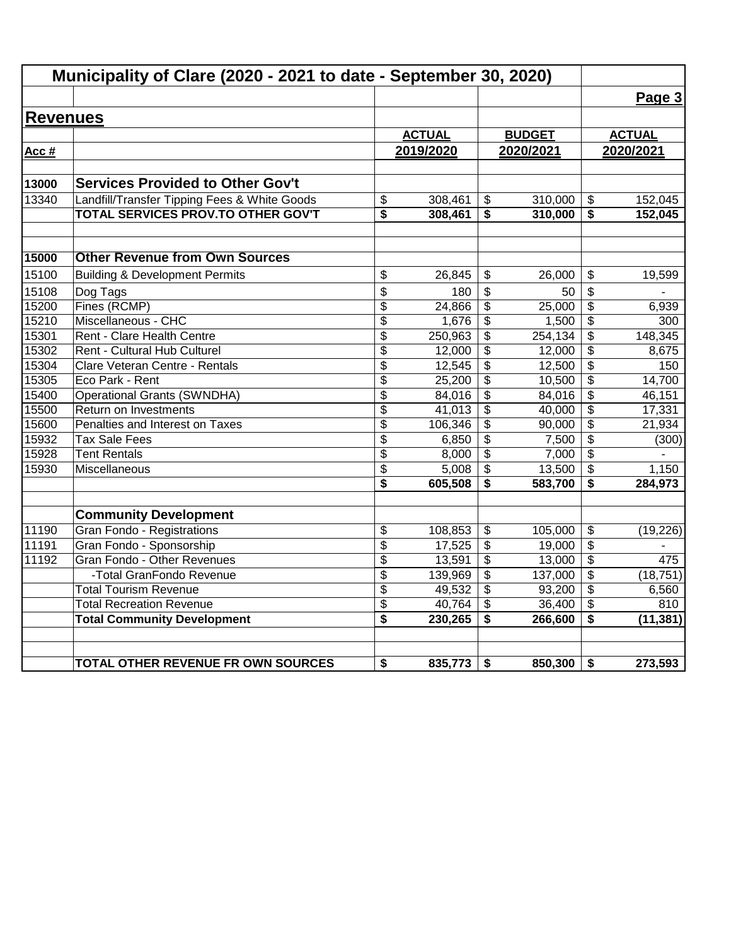|                 | Municipality of Clare (2020 - 2021 to date - September 30, 2020) |                       |                 |                         |                 |                                      |               |
|-----------------|------------------------------------------------------------------|-----------------------|-----------------|-------------------------|-----------------|--------------------------------------|---------------|
|                 |                                                                  |                       |                 |                         |                 |                                      | Page 3        |
| <b>Revenues</b> |                                                                  |                       |                 |                         |                 |                                      |               |
|                 |                                                                  |                       | <b>ACTUAL</b>   |                         | <b>BUDGET</b>   |                                      | <b>ACTUAL</b> |
| Acc #           |                                                                  |                       | 2019/2020       |                         | 2020/2021       | 2020/2021                            |               |
|                 |                                                                  |                       |                 |                         |                 |                                      |               |
| 13000           | <b>Services Provided to Other Gov't</b>                          |                       |                 |                         |                 |                                      |               |
| 13340           | Landfill/Transfer Tipping Fees & White Goods                     | \$                    | 308,461         | \$                      | 310,000         | \$                                   | 152,045       |
|                 | TOTAL SERVICES PROV.TO OTHER GOV'T                               | \$                    | 308,461         | \$                      | 310,000         | \$                                   | 152,045       |
| 15000           | <b>Other Revenue from Own Sources</b>                            |                       |                 |                         |                 |                                      |               |
| 15100           |                                                                  |                       |                 |                         |                 |                                      |               |
|                 | <b>Building &amp; Development Permits</b>                        | \$                    | 26,845          | \$                      | 26.000          | \$                                   | 19,599        |
| 15108<br>15200  | Dog Tags<br>Fines (RCMP)                                         | \$                    | 180             | \$                      | 50              | \$                                   |               |
| 15210           | Miscellaneous - CHC                                              | \$<br>$\overline{\$}$ | 24,866<br>1,676 | \$<br>\$                | 25,000<br>1,500 | \$<br>$\overline{\mathbf{S}}$        | 6,939<br>300  |
| 15301           | Rent - Clare Health Centre                                       | \$                    | 250,963         | \$                      | 254, 134        | \$                                   | 148,345       |
| 15302           | Rent - Cultural Hub Culturel                                     | \$                    | 12,000          | \$                      | 12,000          | \$                                   | 8,675         |
| 15304           | Clare Veteran Centre - Rentals                                   | \$                    | 12,545          | $\overline{\mathbf{3}}$ | 12,500          | $\overline{\boldsymbol{\mathsf{s}}}$ | 150           |
| 15305           | Eco Park - Rent                                                  | \$                    | 25,200          | \$                      | 10,500          | $\overline{\mathcal{S}}$             | 14,700        |
| 15400           | <b>Operational Grants (SWNDHA)</b>                               | \$                    | 84,016          | \$                      | 84,016          | \$                                   | 46,151        |
| 15500           | Return on Investments                                            | $\overline{\$}$       | 41,013          | $\overline{\mathbf{3}}$ | 40,000          | $\overline{\$}$                      | 17,331        |
| 15600           | Penalties and Interest on Taxes                                  | \$                    | 106,346         | \$                      | 90,000          | \$                                   | 21,934        |
| 15932           | <b>Tax Sale Fees</b>                                             | \$                    | 6,850           | \$                      | 7,500           | $\frac{1}{2}$                        | (300)         |
| 15928           | <b>Tent Rentals</b>                                              | \$                    | 8,000           | \$                      | 7,000           | \$                                   |               |
| 15930           | Miscellaneous                                                    | \$                    | 5,008           | $\overline{\mathbf{3}}$ | 13,500          | \$                                   | 1,150         |
|                 |                                                                  | \$                    | 605,508         | \$                      | 583,700         | \$                                   | 284,973       |
|                 | <b>Community Development</b>                                     |                       |                 |                         |                 |                                      |               |
| 11190           | <b>Gran Fondo - Registrations</b>                                | \$                    | 108,853         | \$                      | 105,000         | \$                                   | (19, 226)     |
| 11191           | Gran Fondo - Sponsorship                                         | \$                    | 17,525          | \$                      | 19,000          | $\frac{1}{2}$                        |               |
| 11192           | Gran Fondo - Other Revenues                                      | \$                    | 13,591          | \$                      | 13,000          | \$                                   | 475           |
|                 | -Total GranFondo Revenue                                         | \$                    | 139,969         | $\overline{\mathbf{e}}$ | 137,000         | \$                                   | (18, 751)     |
|                 | <b>Total Tourism Revenue</b>                                     | \$                    | 49,532          | \$                      | 93,200          | \$                                   | 6,560         |
|                 | <b>Total Recreation Revenue</b>                                  | \$                    | 40,764          | \$                      | 36,400          | \$                                   | 810           |
|                 | <b>Total Community Development</b>                               | \$                    | 230,265         | \$                      | 266,600         | \$                                   | (11, 381)     |
|                 |                                                                  |                       |                 |                         |                 |                                      |               |
|                 | TOTAL OTHER REVENUE FR OWN SOURCES                               | \$                    | 835,773         | \$                      | 850,300         | \$                                   | 273,593       |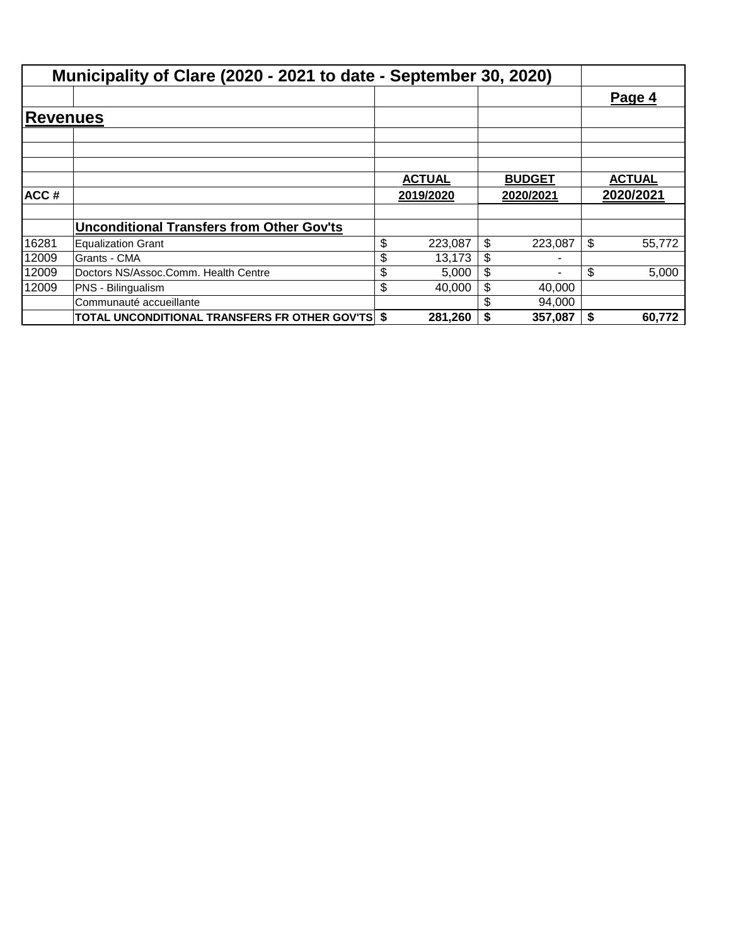|          | Municipality of Clare (2020 - 2021 to date - September 30, 2020) |               |               |    |               |
|----------|------------------------------------------------------------------|---------------|---------------|----|---------------|
|          |                                                                  |               |               |    | Page 4        |
| Revenues |                                                                  |               |               |    |               |
|          |                                                                  |               |               |    |               |
|          |                                                                  | <b>ACTUAL</b> | <b>BUDGET</b> |    | <b>ACTUAL</b> |
| ACC#     |                                                                  | 2019/2020     | 2020/2021     |    | 2020/2021     |
|          | <b>Unconditional Transfers from Other Gov'ts</b>                 |               |               |    |               |
| 16281    | <b>Equalization Grant</b>                                        | \$<br>223,087 | \$<br>223,087 | \$ | 55,772        |
| 12009    | Grants - CMA                                                     | 13,173        | \$            |    |               |
| 12009    | Doctors NS/Assoc.Comm. Health Centre                             | \$<br>5,000   | \$            | \$ | 5,000         |
| 12009    | PNS - Bilingualism                                               | \$<br>40,000  | 40,000        |    |               |
|          | Communauté accueillante                                          |               | 94,000        |    |               |
|          | TOTAL UNCONDITIONAL TRANSFERS FR OTHER GOV'TS \$                 | 281,260       | 357,087       | S. | 60,772        |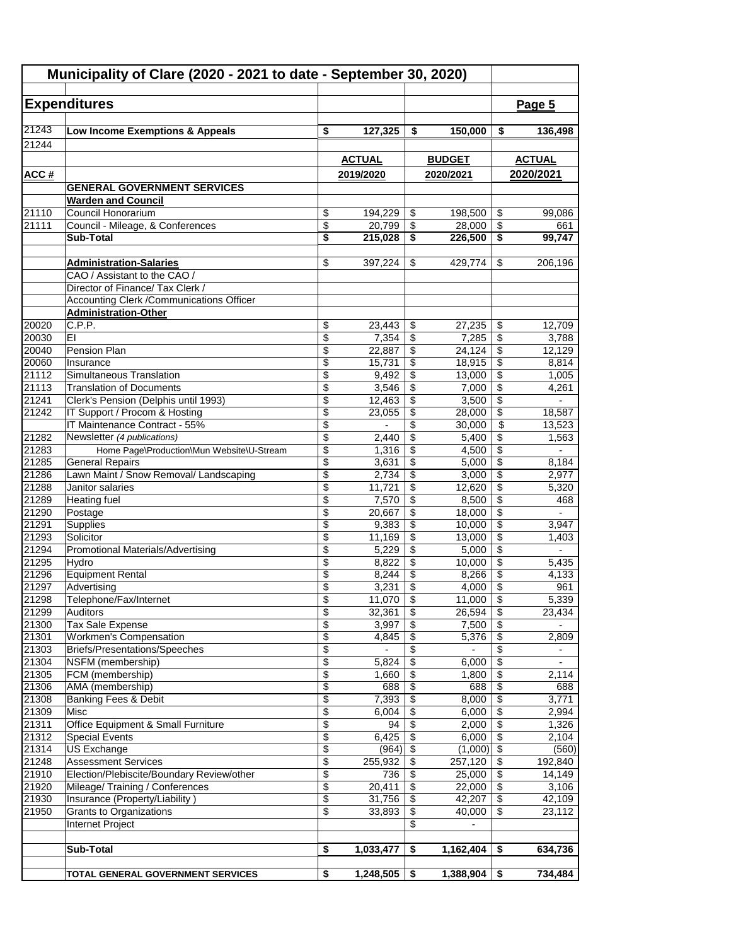| Municipality of Clare (2020 - 2021 to date - September 30, 2020) |                                                                         |                       |                  |                 |                  |                                                           |                                   |
|------------------------------------------------------------------|-------------------------------------------------------------------------|-----------------------|------------------|-----------------|------------------|-----------------------------------------------------------|-----------------------------------|
|                                                                  | <b>Expenditures</b>                                                     |                       |                  |                 |                  |                                                           | Page 5                            |
|                                                                  |                                                                         |                       |                  |                 |                  |                                                           |                                   |
| 21243                                                            | Low Income Exemptions & Appeals                                         | \$                    | 127,325          | \$              | 150,000          | \$                                                        | 136,498                           |
| 21244                                                            |                                                                         |                       |                  |                 |                  |                                                           |                                   |
|                                                                  |                                                                         |                       | <b>ACTUAL</b>    |                 | <b>BUDGET</b>    |                                                           | <b>ACTUAL</b>                     |
| ACC#                                                             |                                                                         |                       | 2019/2020        |                 | 2020/2021        |                                                           | 2020/2021                         |
|                                                                  | <b>GENERAL GOVERNMENT SERVICES</b>                                      |                       |                  |                 |                  |                                                           |                                   |
|                                                                  | <b>Warden and Council</b>                                               |                       |                  |                 |                  |                                                           |                                   |
| 21110                                                            | Council Honorarium                                                      | \$                    | 194,229          | \$              | 198,500          | \$                                                        | 99,086                            |
| 21111                                                            | Council - Mileage, & Conferences                                        | \$                    | 20,799           | \$              | 28,000           | \$                                                        | 661                               |
|                                                                  | Sub-Total                                                               | \$                    | 215,028          | \$              | 226,500          | \$                                                        | 99,747                            |
|                                                                  |                                                                         |                       |                  |                 |                  |                                                           |                                   |
|                                                                  | <b>Administration-Salaries</b><br>CAO / Assistant to the CAO /          | \$                    | 397,224          | \$              | 429,774          | \$                                                        | 206,196                           |
|                                                                  | Director of Finance/ Tax Clerk /                                        |                       |                  |                 |                  |                                                           |                                   |
|                                                                  | <b>Accounting Clerk /Communications Officer</b>                         |                       |                  |                 |                  |                                                           |                                   |
|                                                                  | <b>Administration-Other</b>                                             |                       |                  |                 |                  |                                                           |                                   |
| 20020                                                            | C.P.P.                                                                  | \$                    | 23,443           | \$              | 27,235           | \$                                                        | 12,709                            |
| 20030                                                            | EI                                                                      | \$                    | 7,354            | \$              | 7,285            | \$                                                        | 3,788                             |
| 20040                                                            | Pension Plan                                                            | \$                    | 22,887           | \$              | 24,124           | \$                                                        | 12,129                            |
| 20060                                                            | Insurance                                                               | \$                    | 15,731           | \$              | 18,915           | \$                                                        | 8.814                             |
| 21112                                                            | Simultaneous Translation                                                | \$                    | 9,492            | \$              | 13,000           | \$                                                        | 1,005                             |
| 21113<br>21241                                                   | <b>Translation of Documents</b><br>Clerk's Pension (Delphis until 1993) | \$<br>$\overline{\$}$ | 3,546<br>12,463  | \$<br>\$        | 7,000<br>3,500   | $\overline{\boldsymbol{\mathfrak{s}}}$<br>$\overline{\$}$ | 4,261                             |
| 21242                                                            | IT Support / Procom & Hosting                                           | \$                    | 23,055           | \$              | 28,000           | \$                                                        | 18,587                            |
|                                                                  | IT Maintenance Contract - 55%                                           | \$                    |                  | \$              | 30,000           | \$                                                        | 13,523                            |
| 21282                                                            | Newsletter (4 publications)                                             | \$                    | 2,440            | \$              | 5,400            | \$                                                        | 1,563                             |
| 21283                                                            | Home Page\Production\Mun Website\U-Stream                               | \$                    | 1,316            | \$              | 4,500            | $\overline{\boldsymbol{\mathsf{s}}}$                      |                                   |
| 21285                                                            | <b>General Repairs</b>                                                  | \$                    | 3,631            | \$              | 5,000            | $\overline{\$}$                                           | 8,184                             |
| 21286                                                            | Lawn Maint / Snow Removal/ Landscaping                                  | \$                    | 2,734            | \$              | 3,000            | $\overline{\boldsymbol{\mathfrak{s}}}$                    | 2,977                             |
| 21288                                                            | Janitor salaries                                                        | $\overline{\$}$       | 11,721           | \$              | 12,620           | $\overline{\$}$                                           | 5,320                             |
| 21289                                                            | <b>Heating fuel</b>                                                     | \$                    | 7,570            | \$              | 8,500            | $\overline{\$}$                                           | 468                               |
| 21290                                                            | Postage                                                                 | \$                    | 20,667           | \$              | 18,000           | \$                                                        | $\mathbf{r}$                      |
| 21291                                                            | Supplies                                                                | \$                    | 9,383            | \$              | 10,000           | \$                                                        | 3,947                             |
| 21293<br>21294                                                   | Solicitor<br><b>Promotional Materials/Advertising</b>                   | \$<br>\$              | 11,169<br>5,229  | \$<br>\$        | 13,000<br>5,000  | \$<br>\$                                                  | 1,403                             |
| 21295                                                            | Hydro                                                                   | \$                    | 8,822            | \$              | 10,000           | $\overline{\mathcal{S}}$                                  | 5,435                             |
| 21296                                                            | <b>Equipment Rental</b>                                                 | \$                    | 8,244            | \$              | 8,266            | \$                                                        | 4,133                             |
| 21297                                                            | Advertising                                                             | \$                    | 3,231            | \$              | 4,000            | $\overline{\mathcal{L}}$                                  | 961                               |
| 21298                                                            | Telephone/Fax/Internet                                                  | \$                    | $11,070$ \$      |                 | 11,000           | $\overline{\mathcal{S}}$                                  | 5,339                             |
| 21299                                                            | Auditors                                                                | \$                    | 32,361           | \$              | 26,594           | \$                                                        | 23,434                            |
| 21300                                                            | Tax Sale Expense                                                        | \$                    | 3,997            | \$              | 7,500            | \$                                                        |                                   |
| 21301                                                            | <b>Workmen's Compensation</b>                                           | $\overline{\$}$       | 4,845            | $\overline{\$}$ | 5,376            | $\overline{\$}$                                           | 2,809                             |
| 21303<br>21304                                                   | Briefs/Presentations/Speeches                                           | \$<br>\$              |                  | \$<br>\$        |                  | \$<br>$\sqrt{2}$                                          |                                   |
| 21305                                                            | NSFM (membership)<br>FCM (membership)                                   | \$                    | 5,824<br>1,660   | \$              | 6,000<br>1,800   | \$                                                        | $\overline{\phantom{0}}$<br>2,114 |
| 21306                                                            | AMA (membership)                                                        | \$                    | 688              | \$              | 688              | \$                                                        | 688                               |
| 21308                                                            | Banking Fees & Debit                                                    | \$                    | 7,393            | \$              | 8,000            | \$                                                        | 3,771                             |
| 21309                                                            | Misc                                                                    | \$                    | 6,004            | \$              | 6,000            | $\overline{\$}$                                           | 2,994                             |
| 21311                                                            | Office Equipment & Small Furniture                                      | $\overline{\$}$       | 94               | \$              | 2,000            | $\overline{\$}$                                           | 1,326                             |
| 21312                                                            | <b>Special Events</b>                                                   | \$                    | 6,425            | \$              | 6,000            | $\overline{\boldsymbol{\mathsf{s}}}$                      | 2,104                             |
| 21314                                                            | US Exchange                                                             | \$                    | $(964)$ \$       |                 | (1,000)          | $\sqrt[3]{3}$                                             | (560)                             |
| 21248                                                            | <b>Assessment Services</b>                                              | \$                    | 255,932          | \$              | 257,120          | \$                                                        | 192,840                           |
| 21910                                                            | Election/Plebiscite/Boundary Review/other                               | \$                    | 736              | \$              | 25,000           | \$                                                        | 14,149                            |
| 21920<br>21930                                                   | Mileage/Training / Conferences<br>Insurance (Property/Liability)        | \$<br>$\overline{\$}$ | 20,411<br>31,756 | \$<br>\$        | 22,000<br>42,207 | $\overline{\boldsymbol{\mathfrak{s}}}$<br>\$              | 3,106<br>42,109                   |
| 21950                                                            | Grants to Organizations                                                 | \$                    | 33,893           | \$              | 40,000           | \$                                                        | 23,112                            |
|                                                                  | Internet Project                                                        |                       |                  | \$              |                  |                                                           |                                   |
|                                                                  |                                                                         |                       |                  |                 |                  |                                                           |                                   |
|                                                                  | Sub-Total                                                               | \$                    | 1,033,477        | \$              | 1,162,404        | \$                                                        | 634,736                           |
|                                                                  |                                                                         |                       |                  |                 |                  |                                                           |                                   |
|                                                                  | TOTAL GENERAL GOVERNMENT SERVICES                                       | \$                    | 1,248,505        | - \$            | 1,388,904        | \$                                                        | 734,484                           |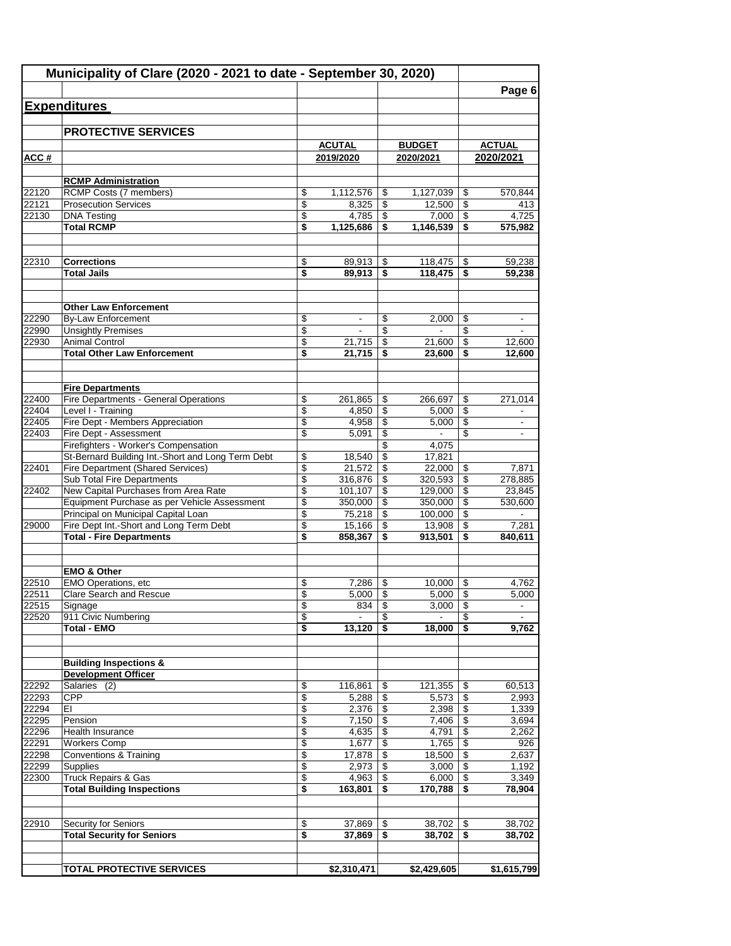|                | Municipality of Clare (2020 - 2021 to date - September 30, 2020)                              |          |                          |                          |                  |          |                          |
|----------------|-----------------------------------------------------------------------------------------------|----------|--------------------------|--------------------------|------------------|----------|--------------------------|
|                |                                                                                               |          |                          |                          |                  |          | Page 6                   |
|                | <b>Expenditures</b>                                                                           |          |                          |                          |                  |          |                          |
|                |                                                                                               |          |                          |                          |                  |          |                          |
|                | <b>PROTECTIVE SERVICES</b>                                                                    |          |                          |                          |                  |          |                          |
|                |                                                                                               |          | <b>ACUTAL</b>            |                          | <b>BUDGET</b>    |          | <b>ACTUAL</b>            |
| ACC#           |                                                                                               |          | 2019/2020                |                          | 2020/2021        |          | 2020/2021                |
|                | <b>RCMP Administration</b>                                                                    |          |                          |                          |                  |          |                          |
| 22120          | RCMP Costs (7 members)                                                                        | \$       | 1,112,576                | \$                       | 1,127,039        | \$       | 570,844                  |
| 22121          | <b>Prosecution Services</b>                                                                   | \$       | 8,325                    | \$                       | 12,500           | \$       | 413                      |
| 22130          | <b>DNA Testing</b>                                                                            | \$       | 4,785                    | \$                       | 7,000            | \$       | 4,725                    |
|                | <b>Total RCMP</b>                                                                             | \$       | 1,125,686                | \$                       | 1,146,539        | \$       | 575,982                  |
| 22310          | <b>Corrections</b>                                                                            | \$       | 89,913                   | \$                       | 118,475          | \$       | 59,238                   |
|                | <b>Total Jails</b>                                                                            | \$       | 89,913                   | \$                       | 118,475          | S        | 59,238                   |
|                |                                                                                               |          |                          |                          |                  |          |                          |
|                | <b>Other Law Enforcement</b>                                                                  |          |                          |                          |                  |          |                          |
| 22290          | <b>By-Law Enforcement</b>                                                                     | \$       | $\overline{\phantom{a}}$ | \$                       | 2,000            | \$       | $\overline{\phantom{a}}$ |
| 22990          | <b>Unsightly Premises</b>                                                                     | \$       | $\blacksquare$           | \$                       | $\sim$           | \$       | $\overline{\phantom{a}}$ |
| 22930          | <b>Animal Control</b><br><b>Total Other Law Enforcement</b>                                   | \$<br>\$ | 21,715<br>21,715         | \$<br>\$                 | 21,600<br>23,600 | \$<br>\$ | 12,600                   |
|                |                                                                                               |          |                          |                          |                  |          | 12,600                   |
|                | <b>Fire Departments</b>                                                                       |          |                          |                          |                  |          |                          |
| 22400          | Fire Departments - General Operations                                                         | \$       | 261,865                  | \$                       | 266,697          | \$       | 271,014                  |
| 22404          | Level I - Training                                                                            | \$       | 4,850                    | \$                       | 5.000            | \$       |                          |
| 22405          | Fire Dept - Members Appreciation                                                              | \$       | 4,958                    | \$                       | 5,000            | \$       |                          |
| 22403          | Fire Dept - Assessment                                                                        | \$       | 5,091                    | $\overline{\mathcal{L}}$ |                  | \$       |                          |
|                | Firefighters - Worker's Compensation                                                          |          |                          | $\overline{\mathcal{E}}$ | 4,075            |          |                          |
| 22401          | St-Bernard Building Int.-Short and Long Term Debt<br><b>Fire Department (Shared Services)</b> | \$<br>\$ | 18,540<br>21,572         | \$<br>\$                 | 17,821<br>22,000 |          |                          |
|                | Sub Total Fire Departments                                                                    | \$       | 316,876                  | \$                       | 320,593          | \$<br>\$ | 7,871<br>278,885         |
| 22402          | New Capital Purchases from Area Rate                                                          | \$       | 101,107                  | $\overline{\mathcal{L}}$ | 129,000          | \$       | 23,845                   |
|                | Equipment Purchase as per Vehicle Assessment                                                  | \$       | 350,000                  | \$                       | 350,000          | \$       | 530,600                  |
|                | Principal on Municipal Capital Loan                                                           | \$       | 75,218                   | \$                       | 100,000          | \$       |                          |
| 29000          | Fire Dept Int.-Short and Long Term Debt                                                       | \$       | 15,166                   | \$                       | 13,908           | \$       | 7,281                    |
|                | <b>Total - Fire Departments</b>                                                               | \$       | 858,367                  | \$                       | 913,501          | \$       | 840,611                  |
|                |                                                                                               |          |                          |                          |                  |          |                          |
| 22510          | <b>EMO &amp; Other</b><br>EMO Operations, etc                                                 |          | 7,286                    |                          |                  | \$       | 4.762                    |
| 22511          | <b>Clare Search and Rescue</b>                                                                | \$<br>\$ | 5,000                    | \$<br>\$                 | 10,000<br>5,000  | \$       | 5,000                    |
| 22515          | Signage                                                                                       | \$       | 834                      | \$                       | 3,000            | \$       | $\blacksquare$           |
| 22520          | 911 Civic Numbering                                                                           | \$       | $\overline{a}$           | \$                       | $\blacksquare$   | \$       | $\blacksquare$           |
|                | <b>Total - EMO</b>                                                                            | \$       | 13,120                   | \$                       | 18,000           | \$       | 9,762                    |
|                |                                                                                               |          |                          |                          |                  |          |                          |
|                | <b>Building Inspections &amp;</b><br><b>Development Officer</b>                               |          |                          |                          |                  |          |                          |
| 22292          | Salaries (2)                                                                                  | \$       | 116,861                  | \$                       | 121,355          | \$       | 60,513                   |
| 22293          | CPP                                                                                           | \$       | 5,288                    | \$                       | 5,573            | \$       | 2,993                    |
| 22294          | EI                                                                                            | \$       | 2,376                    | \$                       | 2,398            | \$       | 1,339                    |
| 22295          | Pension                                                                                       | \$       | 7,150                    | \$                       | 7,406            | \$       | 3,694                    |
| 22296          | <b>Health Insurance</b>                                                                       | \$       | 4,635                    | \$                       | 4,791            | \$       | 2,262                    |
| 22291          | Workers Comp                                                                                  | \$       | 1,677                    | \$                       | 1,765            | \$       | 926                      |
| 22298          | <b>Conventions &amp; Training</b>                                                             | \$       | 17,878                   | \$                       | 18,500           | \$       | 2,637                    |
| 22299<br>22300 | <b>Supplies</b><br><b>Truck Repairs &amp; Gas</b>                                             | \$<br>\$ | 2,973<br>4,963           | \$<br>\$                 | 3,000<br>6,000   | \$<br>\$ | 1,192<br>3,349           |
|                | <b>Total Building Inspections</b>                                                             | \$       | 163,801                  | \$                       | 170,788          | \$       | 78,904                   |
|                |                                                                                               |          |                          |                          |                  |          |                          |
| 22910          | Security for Seniors                                                                          | \$       | 37,869                   | \$                       | 38,702           | \$       | 38,702                   |
|                | <b>Total Security for Seniors</b>                                                             | \$       | 37,869                   | \$                       | 38,702           | \$       | 38,702                   |
|                |                                                                                               |          |                          |                          |                  |          |                          |
|                | <b>TOTAL PROTECTIVE SERVICES</b>                                                              |          | \$2,310,471              |                          | \$2,429,605      |          | \$1,615,799              |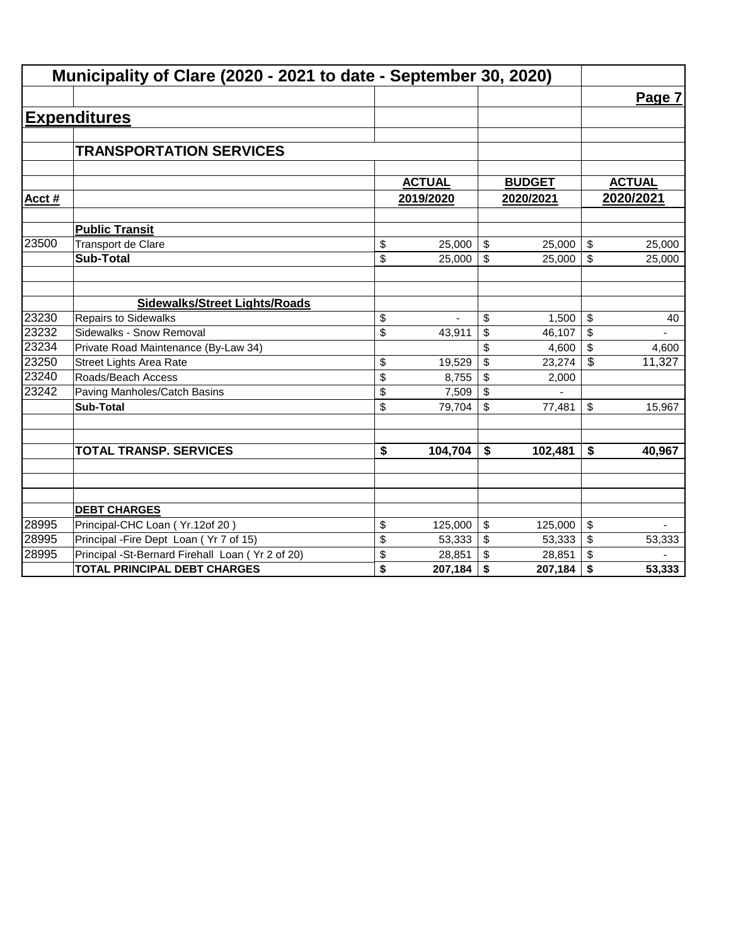|       | Municipality of Clare (2020 - 2021 to date - September 30, 2020) |                                      |               |                         |               |    |               |  |  |
|-------|------------------------------------------------------------------|--------------------------------------|---------------|-------------------------|---------------|----|---------------|--|--|
|       |                                                                  |                                      |               |                         |               |    | Page 7        |  |  |
|       | <b>Expenditures</b>                                              |                                      |               |                         |               |    |               |  |  |
|       |                                                                  |                                      |               |                         |               |    |               |  |  |
|       | <b>TRANSPORTATION SERVICES</b>                                   |                                      |               |                         |               |    |               |  |  |
|       |                                                                  |                                      |               |                         |               |    |               |  |  |
|       |                                                                  |                                      | <b>ACTUAL</b> |                         | <b>BUDGET</b> |    | <b>ACTUAL</b> |  |  |
| Acct# |                                                                  |                                      | 2019/2020     |                         | 2020/2021     |    | 2020/2021     |  |  |
|       | <b>Public Transit</b>                                            |                                      |               |                         |               |    |               |  |  |
| 23500 | <b>Transport de Clare</b>                                        | \$                                   | 25,000        | \$                      | 25,000        | \$ | 25,000        |  |  |
|       | <b>Sub-Total</b>                                                 | \$                                   | 25,000        | \$                      | 25,000        | \$ | 25,000        |  |  |
|       |                                                                  |                                      |               |                         |               |    |               |  |  |
|       | <b>Sidewalks/Street Lights/Roads</b>                             |                                      |               |                         |               |    |               |  |  |
| 23230 | <b>Repairs to Sidewalks</b>                                      | \$                                   |               | \$                      | 1,500         | \$ | 40            |  |  |
| 23232 | Sidewalks - Snow Removal                                         | \$                                   | 43,911        | \$                      | 46,107        | \$ |               |  |  |
| 23234 | Private Road Maintenance (By-Law 34)                             |                                      |               | \$                      | 4,600         | \$ | 4,600         |  |  |
| 23250 | <b>Street Lights Area Rate</b>                                   | \$                                   | 19,529        | \$                      | 23,274        | \$ | 11,327        |  |  |
| 23240 | Roads/Beach Access                                               | \$                                   | 8,755         | \$                      | 2,000         |    |               |  |  |
| 23242 | Paving Manholes/Catch Basins                                     | \$                                   | 7,509         | \$                      |               |    |               |  |  |
|       | <b>Sub-Total</b>                                                 | \$                                   | 79,704        | \$                      | 77,481        | \$ | 15,967        |  |  |
|       |                                                                  |                                      |               |                         |               |    |               |  |  |
|       | <b>TOTAL TRANSP. SERVICES</b>                                    | $\overline{\boldsymbol{\mathsf{s}}}$ | 104,704       | \$                      | 102,481       | \$ | 40,967        |  |  |
|       |                                                                  |                                      |               |                         |               |    |               |  |  |
|       |                                                                  |                                      |               |                         |               |    |               |  |  |
|       | <b>DEBT CHARGES</b>                                              |                                      |               |                         |               |    |               |  |  |
| 28995 | Principal-CHC Loan (Yr.12of 20)                                  | \$                                   | 125,000       | $\sqrt[6]{\frac{1}{2}}$ | 125,000       | \$ |               |  |  |
| 28995 | Principal - Fire Dept Loan (Yr 7 of 15)                          | \$                                   | 53,333        | \$                      | 53,333        | \$ | 53,333        |  |  |
| 28995 | Principal -St-Bernard Firehall Loan (Yr 2 of 20)                 | \$                                   | 28,851        | \$                      | 28,851        | \$ |               |  |  |
|       | <b>TOTAL PRINCIPAL DEBT CHARGES</b>                              | \$                                   | 207,184       | \$                      | 207,184       | \$ | 53,333        |  |  |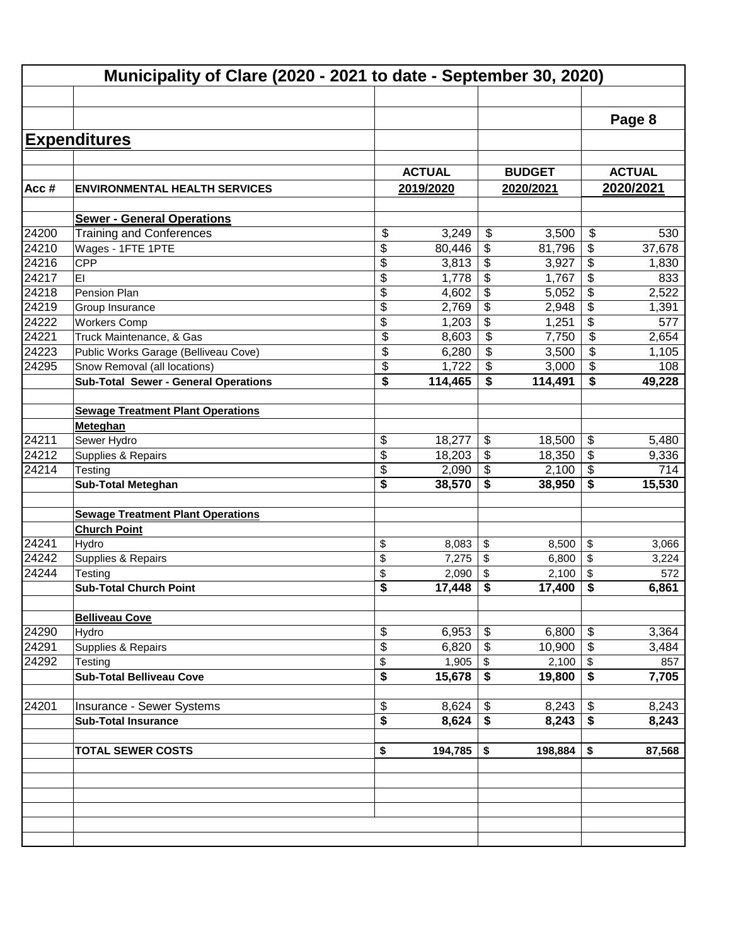|                         | Municipality of Clare (2020 - 2021 to date - September 30, 2020) |          |                 |                                  |                 |          |               |
|-------------------------|------------------------------------------------------------------|----------|-----------------|----------------------------------|-----------------|----------|---------------|
|                         |                                                                  |          |                 |                                  |                 |          |               |
|                         |                                                                  |          |                 |                                  |                 |          | Page 8        |
|                         | <b>Expenditures</b>                                              |          |                 |                                  |                 |          |               |
|                         |                                                                  |          |                 |                                  |                 |          |               |
|                         |                                                                  |          | <b>ACTUAL</b>   |                                  | <b>BUDGET</b>   |          | <b>ACTUAL</b> |
| Acc#                    | <b>ENVIRONMENTAL HEALTH SERVICES</b>                             |          | 2019/2020       |                                  | 2020/2021       |          | 2020/2021     |
|                         | <b>Sewer - General Operations</b>                                |          |                 |                                  |                 |          |               |
| 24200                   | <b>Training and Conferences</b>                                  | \$       | 3,249           | \$                               | 3,500           | \$       | 530           |
| 24210                   | Wages - 1FTE 1PTE                                                | \$       | 80,446          | \$                               | 81,796          | \$       | 37,678        |
| 24216                   | <b>CPP</b>                                                       | \$       | 3,813           | \$                               | 3,927           | \$       | 1,830         |
| 24217                   | EI                                                               | \$       | 1,778           | \$                               | 1,767           | \$       | 833           |
| 24218                   | Pension Plan                                                     | \$       | 4,602           | \$                               | 5,052           | \$       | 2,522         |
| 24219                   | Group Insurance                                                  | \$       | 2,769           | \$                               | 2,948           | \$       | 1,391         |
| 24222                   | <b>Workers Comp</b>                                              | \$       | 1,203           | \$                               | 1,251           | \$       | 577           |
| 24221                   | Truck Maintenance, & Gas                                         | \$       | 8,603           | $\overline{\mathbf{e}}$          | 7,750           | \$       | 2,654         |
| 24223                   | Public Works Garage (Belliveau Cove)                             | \$       | 6,280           | \$                               | 3,500           | \$       | 1,105         |
| 24295                   | Snow Removal (all locations)                                     | \$       | 1,722           | \$                               | 3,000           | \$       | 108           |
|                         | <b>Sub-Total Sewer - General Operations</b>                      | \$       | 114,465         | \$                               | 114,491         | \$       | 49,228        |
|                         |                                                                  |          |                 |                                  |                 |          |               |
|                         | <b>Sewage Treatment Plant Operations</b>                         |          |                 |                                  |                 |          |               |
|                         | Meteghan                                                         |          |                 |                                  |                 |          |               |
| 24211<br>$\sqrt{24212}$ | Sewer Hydro                                                      | \$       | 18,277          | \$                               | 18,500          | \$       | 5,480         |
| 24214                   | Supplies & Repairs                                               | \$       | 18,203          | $\frac{1}{2}$<br>$\overline{\$}$ | 18,350          | \$       | 9,336         |
|                         | Testing                                                          | \$<br>\$ | 2,090<br>38,570 | \$                               | 2,100<br>38,950 | \$<br>\$ | 714<br>15,530 |
|                         | <b>Sub-Total Meteghan</b>                                        |          |                 |                                  |                 |          |               |
|                         | <b>Sewage Treatment Plant Operations</b>                         |          |                 |                                  |                 |          |               |
|                         | <b>Church Point</b>                                              |          |                 |                                  |                 |          |               |
| 24241                   | Hydro                                                            | \$       | 8,083           | \$                               | 8,500           | \$       | 3,066         |
| 24242                   | Supplies & Repairs                                               | \$       | 7,275           | \$                               | 6,800           | \$       | 3,224         |
| 24244                   | Testing                                                          | \$       | 2,090           | \$                               | 2,100           | \$       | 572           |
|                         | <b>Sub-Total Church Point</b>                                    | \$       | 17,448          | \$                               | 17,400          | \$       | 6,861         |
|                         |                                                                  |          |                 |                                  |                 |          |               |
|                         | <b>Belliveau Cove</b>                                            |          |                 |                                  |                 |          |               |
| 24290                   | Hydro                                                            | \$       | 6,953           | \$                               | 6,800           | \$       | 3,364         |
| 24291                   | Supplies & Repairs                                               | \$       | 6,820           | \$                               | 10,900          | \$       | 3,484         |
| 24292                   | Testing                                                          | \$       | 1,905           | \$                               | 2,100           | \$       | 857           |
|                         | <b>Sub-Total Belliveau Cove</b>                                  | \$       | 15,678          | \$                               | 19,800          | \$       | 7,705         |
| 24201                   | Insurance - Sewer Systems                                        | \$       | 8,624           | \$                               | 8,243           | \$       | 8,243         |
|                         | <b>Sub-Total Insurance</b>                                       | \$       | 8,624           | \$                               | 8,243           | \$       | 8,243         |
|                         |                                                                  |          |                 |                                  |                 |          |               |
|                         | <b>TOTAL SEWER COSTS</b>                                         | \$       | 194,785         | \$                               | 198,884         | \$       | 87,568        |
|                         |                                                                  |          |                 |                                  |                 |          |               |
|                         |                                                                  |          |                 |                                  |                 |          |               |
|                         |                                                                  |          |                 |                                  |                 |          |               |
|                         |                                                                  |          |                 |                                  |                 |          |               |
|                         |                                                                  |          |                 |                                  |                 |          |               |
|                         |                                                                  |          |                 |                                  |                 |          |               |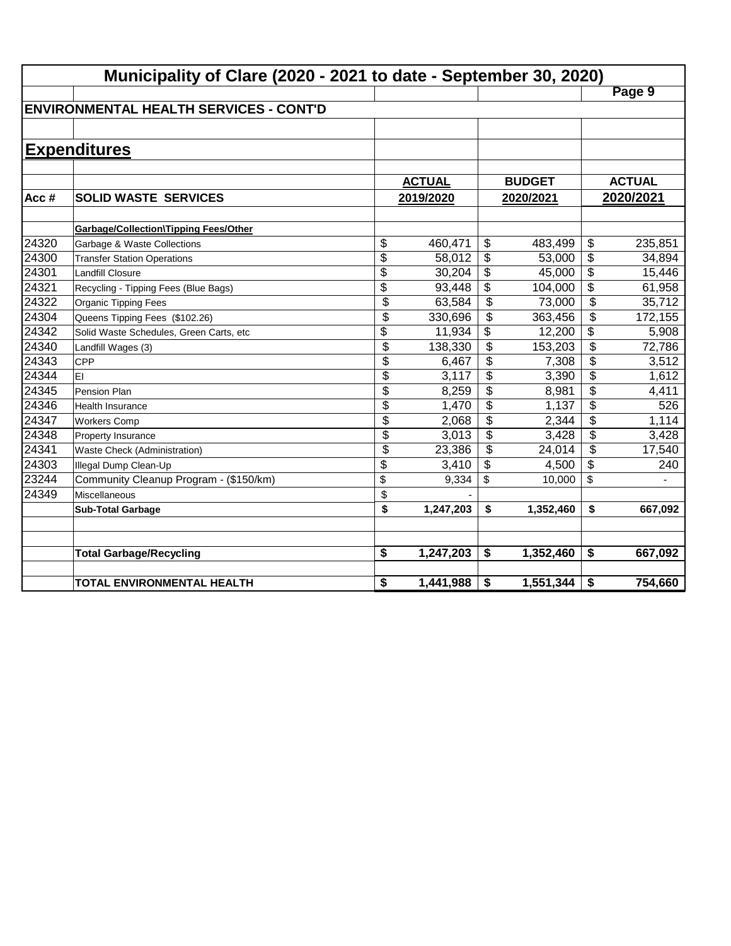|       | Municipality of Clare (2020 - 2021 to date - September 30, 2020) |                 |               |                           |               |    |               |  |  |
|-------|------------------------------------------------------------------|-----------------|---------------|---------------------------|---------------|----|---------------|--|--|
|       |                                                                  |                 |               |                           |               |    | Page 9        |  |  |
|       | <b>ENVIRONMENTAL HEALTH SERVICES - CONT'D</b>                    |                 |               |                           |               |    |               |  |  |
|       |                                                                  |                 |               |                           |               |    |               |  |  |
|       | <b>Expenditures</b>                                              |                 |               |                           |               |    |               |  |  |
|       |                                                                  |                 |               |                           |               |    |               |  |  |
|       |                                                                  |                 | <b>ACTUAL</b> |                           | <b>BUDGET</b> |    | <b>ACTUAL</b> |  |  |
| Acc#  | <b>SOLID WASTE SERVICES</b>                                      |                 | 2019/2020     |                           | 2020/2021     |    | 2020/2021     |  |  |
|       |                                                                  |                 |               |                           |               |    |               |  |  |
|       | <b>Garbage/Collection\Tipping Fees/Other</b>                     |                 |               |                           |               |    |               |  |  |
| 24320 | Garbage & Waste Collections                                      | \$              | 460,471       | \$                        | 483,499       | \$ | 235,851       |  |  |
| 24300 | <b>Transfer Station Operations</b>                               | $\overline{\$}$ | 58,012        | $\boldsymbol{\mathsf{S}}$ | 53,000        | \$ | 34,894        |  |  |
| 24301 | <b>Landfill Closure</b>                                          | \$              | 30,204        | \$                        | 45,000        | \$ | 15,446        |  |  |
| 24321 | Recycling - Tipping Fees (Blue Bags)                             | \$              | 93,448        | \$                        | 104,000       | \$ | 61,958        |  |  |
| 24322 | Organic Tipping Fees                                             | \$              | 63,584        | \$                        | 73,000        | \$ | 35,712        |  |  |
| 24304 | Queens Tipping Fees (\$102.26)                                   | \$              | 330,696       | \$                        | 363,456       | \$ | 172,155       |  |  |
| 24342 | Solid Waste Schedules, Green Carts, etc                          | $\overline{\$}$ | 11,934        | \$                        | 12,200        | \$ | 5,908         |  |  |
| 24340 | Landfill Wages (3)                                               | $\overline{\$}$ | 138,330       | $\overline{\mathcal{L}}$  | 153,203       | \$ | 72,786        |  |  |
| 24343 | <b>CPP</b>                                                       | \$              | 6,467         | \$                        | 7,308         | \$ | 3,512         |  |  |
| 24344 | EI                                                               | \$              | 3,117         | \$                        | 3,390         | \$ | 1,612         |  |  |
| 24345 | Pension Plan                                                     | \$              | 8,259         | \$                        | 8,981         | \$ | 4,411         |  |  |
| 24346 | Health Insurance                                                 | \$              | 1,470         | \$                        | 1,137         | \$ | 526           |  |  |
| 24347 | <b>Workers Comp</b>                                              | \$              | 2,068         | $\boldsymbol{\mathsf{S}}$ | 2,344         | \$ | 1,114         |  |  |
| 24348 | <b>Property Insurance</b>                                        | \$              | 3,013         | \$                        | 3,428         | \$ | 3,428         |  |  |
| 24341 | Waste Check (Administration)                                     | \$              | 23,386        | \$                        | 24,014        | \$ | 17,540        |  |  |
| 24303 | Illegal Dump Clean-Up                                            | \$              | 3,410         | \$                        | 4,500         | \$ | 240           |  |  |
| 23244 | Community Cleanup Program - (\$150/km)                           | \$              | 9,334         | \$                        | 10,000        | \$ |               |  |  |
| 24349 | Miscellaneous                                                    | \$              |               |                           |               |    |               |  |  |
|       | <b>Sub-Total Garbage</b>                                         | \$              | 1,247,203     | \$                        | 1,352,460     | \$ | 667,092       |  |  |
|       |                                                                  |                 |               |                           |               |    |               |  |  |
|       | <b>Total Garbage/Recycling</b>                                   | \$              | 1,247,203     | \$                        | 1,352,460     | \$ | 667,092       |  |  |
|       |                                                                  |                 |               |                           |               |    |               |  |  |
|       | <b>TOTAL ENVIRONMENTAL HEALTH</b>                                | \$              | 1,441,988     | \$                        | 1,551,344     | \$ | 754,660       |  |  |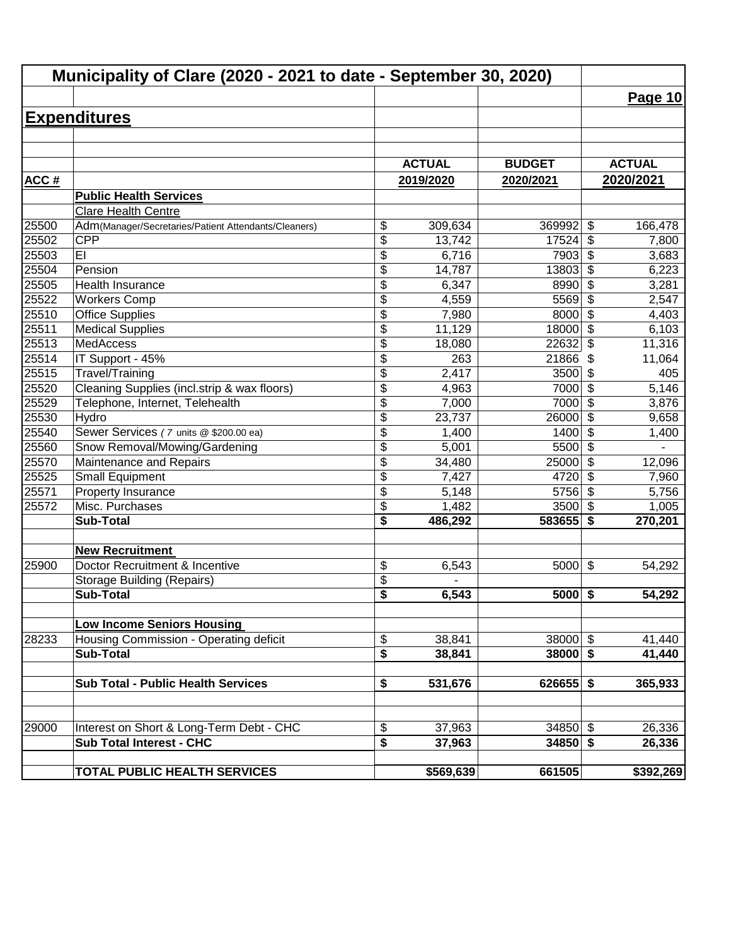|       | Municipality of Clare (2020 - 2021 to date - September 30, 2020) |                 |               |               |                                  |               |
|-------|------------------------------------------------------------------|-----------------|---------------|---------------|----------------------------------|---------------|
|       |                                                                  |                 |               |               |                                  | Page 10       |
|       | <b>Expenditures</b>                                              |                 |               |               |                                  |               |
|       |                                                                  |                 |               |               |                                  |               |
|       |                                                                  |                 |               |               |                                  |               |
|       |                                                                  |                 | <b>ACTUAL</b> | <b>BUDGET</b> |                                  | <b>ACTUAL</b> |
| ACC#  |                                                                  |                 | 2019/2020     | 2020/2021     |                                  | 2020/2021     |
|       | <b>Public Health Services</b>                                    |                 |               |               |                                  |               |
|       | Clare Health Centre                                              |                 |               |               |                                  |               |
| 25500 | Adm(Manager/Secretaries/Patient Attendants/Cleaners)             | \$              | 309,634       | 369992        | \$                               | 166,478       |
| 25502 | <b>CPP</b>                                                       | \$              | 13,742        | 17524         | \$                               | 7,800         |
| 25503 | EI                                                               | \$              | 6,716         | 7903          | \$                               | 3,683         |
| 25504 | Pension                                                          | \$              | 14,787        | 13803         | \$                               | 6,223         |
| 25505 | Health Insurance                                                 | \$              | 6,347         | 8990          | $\overline{\boldsymbol{\theta}}$ | 3,281         |
| 25522 | <b>Workers Comp</b>                                              | \$              | 4,559         | 5569          | $\overline{\$}$                  | 2,547         |
| 25510 | <b>Office Supplies</b>                                           | $\overline{\$}$ | 7,980         | 8000          | $\overline{\mathcal{S}}$         | 4,403         |
| 25511 | <b>Medical Supplies</b>                                          | $\overline{\$}$ | 11,129        | 18000         | $\overline{\mathcal{S}}$         | 6,103         |
| 25513 | <b>MedAccess</b>                                                 | \$              | 18,080        | 22632         | \$                               | 11,316        |
| 25514 | IT Support - 45%                                                 | \$              | 263           | 21866         | \$                               | 11,064        |
| 25515 | Travel/Training                                                  | \$              | 2,417         | 3500          | \$                               | 405           |
| 25520 | Cleaning Supplies (incl.strip & wax floors)                      | \$              | 4,963         | 7000          | \$                               | 5,146         |
| 25529 | Telephone, Internet, Telehealth                                  | \$              | 7,000         | 7000          | $\boldsymbol{\mathsf{S}}$        | 3,876         |
| 25530 | Hydro                                                            | $\overline{\$}$ | 23,737        | 26000         | $\boldsymbol{\mathsf{S}}$        | 9,658         |
| 25540 | Sewer Services (7 units @ \$200.00 ea)                           | \$              | 1,400         | 1400          | $\overline{\mathcal{S}}$         | 1,400         |
| 25560 | Snow Removal/Mowing/Gardening                                    | \$              | 5,001         | 5500          | $\overline{\mathcal{L}}$         |               |
| 25570 | Maintenance and Repairs                                          | \$              | 34,480        | 25000         | $\overline{\mathcal{S}}$         | 12,096        |
| 25525 | <b>Small Equipment</b>                                           | \$              | 7,427         | 4720          | \$                               | 7,960         |
| 25571 | Property Insurance                                               | \$              | 5,148         | 5756          | $\sqrt{2}$                       | 5,756         |
| 25572 | Misc. Purchases                                                  | \$              | 1,482         | 3500          | \$                               | 1,005         |
|       | <b>Sub-Total</b>                                                 | \$              | 486,292       | 583655        | \$                               | 270,201       |
|       | <b>New Recruitment</b>                                           |                 |               |               |                                  |               |
| 25900 | Doctor Recruitment & Incentive                                   | \$              | 6,543         | 5000          | $\boldsymbol{\mathsf{S}}$        | 54,292        |
|       | <b>Storage Building (Repairs)</b>                                | \$              |               |               |                                  |               |
|       | Sub-Total                                                        | \$              | 6,543         | $5000$ \$     |                                  | 54,292        |
|       |                                                                  |                 |               |               |                                  |               |
|       | <b>Low Income Seniors Housing</b>                                |                 |               |               |                                  |               |
| 28233 | Housing Commission - Operating deficit                           | \$              | 38,841        | $38000$ \$    |                                  | 41,440        |
|       | <b>Sub-Total</b>                                                 | \$              | 38,841        | $38000$ \$    |                                  | 41,440        |
|       |                                                                  |                 |               |               |                                  |               |
|       | <b>Sub Total - Public Health Services</b>                        | \$              | 531,676       | $626655$ \$   |                                  | 365,933       |
|       |                                                                  |                 |               |               |                                  |               |
| 29000 | Interest on Short & Long-Term Debt - CHC                         | \$              | 37,963        | $34850$ \$    |                                  | 26,336        |
|       | <b>Sub Total Interest - CHC</b>                                  | \$              | 37,963        | $34850$ \$    |                                  | 26,336        |
|       | TOTAL PUBLIC HEALTH SERVICES                                     |                 | \$569,639     | 661505        |                                  | \$392,269     |
|       |                                                                  |                 |               |               |                                  |               |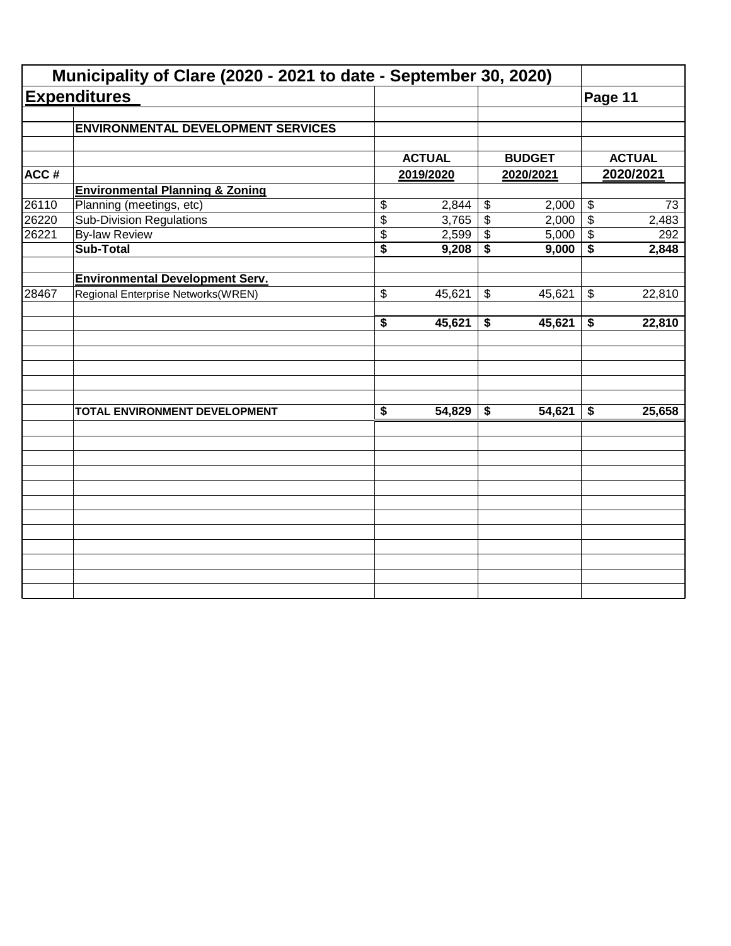|                                           |                                                                                                                                                                             |                |                                                       | Municipality of Clare (2020 - 2021 to date - September 30, 2020) |                                                       |                                                                             |
|-------------------------------------------|-----------------------------------------------------------------------------------------------------------------------------------------------------------------------------|----------------|-------------------------------------------------------|------------------------------------------------------------------|-------------------------------------------------------|-----------------------------------------------------------------------------|
| <b>Expenditures</b>                       |                                                                                                                                                                             |                |                                                       |                                                                  | Page 11                                               |                                                                             |
| <b>ENVIRONMENTAL DEVELOPMENT SERVICES</b> |                                                                                                                                                                             |                |                                                       |                                                                  |                                                       |                                                                             |
|                                           |                                                                                                                                                                             |                |                                                       |                                                                  |                                                       | <b>ACTUAL</b>                                                               |
|                                           |                                                                                                                                                                             |                |                                                       |                                                                  |                                                       | 2020/2021                                                                   |
|                                           |                                                                                                                                                                             |                |                                                       |                                                                  |                                                       |                                                                             |
|                                           |                                                                                                                                                                             |                |                                                       |                                                                  |                                                       | 73                                                                          |
|                                           |                                                                                                                                                                             |                |                                                       |                                                                  |                                                       | 2,483                                                                       |
|                                           |                                                                                                                                                                             |                |                                                       |                                                                  |                                                       | 292                                                                         |
| <b>Sub-Total</b>                          | $\overline{\$}$                                                                                                                                                             | 9,208          | \$                                                    | 9,000                                                            | \$                                                    | 2,848                                                                       |
|                                           |                                                                                                                                                                             |                |                                                       |                                                                  |                                                       |                                                                             |
| Regional Enterprise Networks(WREN)        | \$                                                                                                                                                                          | 45,621         | \$                                                    | 45,621                                                           | \$                                                    | 22,810                                                                      |
|                                           | \$                                                                                                                                                                          | 45,621         | \$                                                    | 45,621                                                           | \$                                                    | 22,810                                                                      |
|                                           |                                                                                                                                                                             |                |                                                       |                                                                  |                                                       |                                                                             |
| TOTAL ENVIRONMENT DEVELOPMENT             | $\overline{\boldsymbol{\mathsf{s}}}$                                                                                                                                        | 54,829         | \$                                                    | 54,621                                                           | \$                                                    | 25,658                                                                      |
|                                           |                                                                                                                                                                             |                |                                                       |                                                                  |                                                       |                                                                             |
|                                           |                                                                                                                                                                             |                |                                                       |                                                                  |                                                       |                                                                             |
|                                           |                                                                                                                                                                             |                |                                                       |                                                                  |                                                       |                                                                             |
|                                           |                                                                                                                                                                             |                |                                                       |                                                                  |                                                       |                                                                             |
|                                           |                                                                                                                                                                             |                |                                                       |                                                                  |                                                       |                                                                             |
|                                           |                                                                                                                                                                             |                |                                                       |                                                                  |                                                       |                                                                             |
|                                           | <b>Environmental Planning &amp; Zoning</b><br>Planning (meetings, etc)<br><b>Sub-Division Regulations</b><br><b>By-law Review</b><br><b>Environmental Development Serv.</b> | \$<br>\$<br>\$ | <b>ACTUAL</b><br>2019/2020<br>2,844<br>3,765<br>2,599 | $\boldsymbol{\mathsf{\$}}$<br>$\overline{\mathcal{L}}$<br>\$     | <b>BUDGET</b><br>2020/2021<br>2,000<br>2,000<br>5,000 | $\boldsymbol{\mathsf{\$}}$<br>$\overline{\$}$<br>$\boldsymbol{\mathsf{\$}}$ |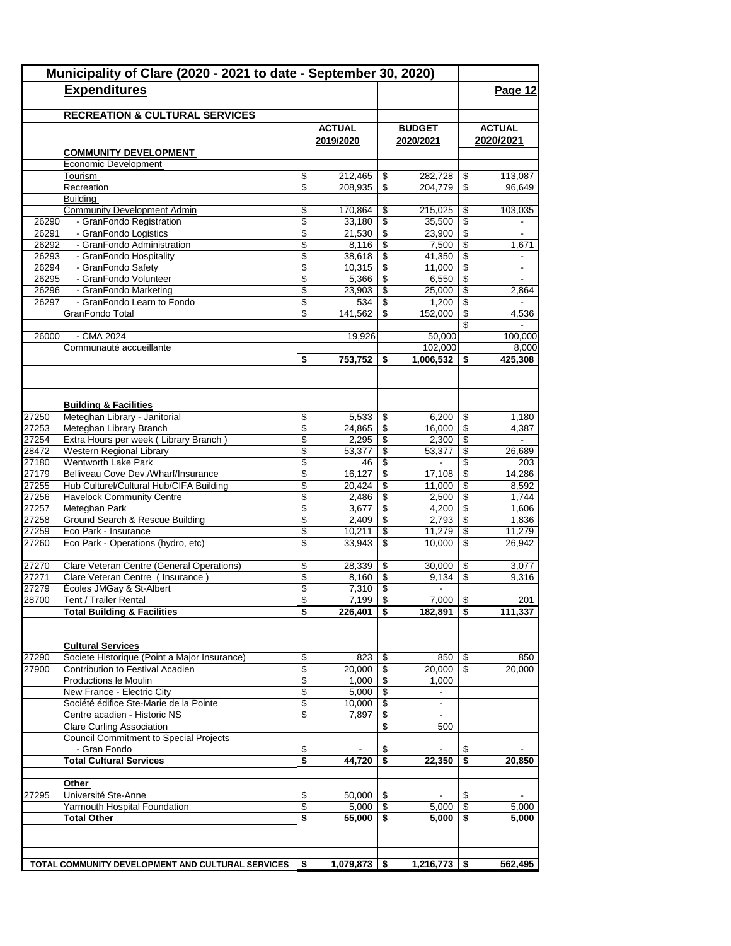|       | Municipality of Clare (2020 - 2021 to date - September 30, 2020)<br><b>Expenditures</b> |                 |                          |                          |                          | Page 12                  |
|-------|-----------------------------------------------------------------------------------------|-----------------|--------------------------|--------------------------|--------------------------|--------------------------|
|       | <b>RECREATION &amp; CULTURAL SERVICES</b>                                               |                 |                          |                          |                          |                          |
|       |                                                                                         | <b>ACTUAL</b>   |                          | <b>BUDGET</b>            |                          | <b>ACTUAL</b>            |
|       |                                                                                         | 2019/2020       |                          | 2020/2021                |                          | 2020/2021                |
|       | <b>COMMUNITY DEVELOPMENT</b>                                                            |                 |                          |                          |                          |                          |
|       | Economic Development                                                                    |                 |                          |                          |                          |                          |
|       | Tourism                                                                                 | \$<br>212,465   | \$                       | 282,728                  | \$                       | 113,087                  |
|       | Recreation<br><b>Building</b>                                                           | \$<br>208,935   | \$                       | 204,779                  | \$                       | 96,649                   |
|       | <b>Community Development Admin</b>                                                      | \$<br>170,864   | \$                       | 215,025                  | \$                       | 103,035                  |
| 26290 | - GranFondo Registration                                                                | \$<br>33,180    | $\overline{\mathcal{S}}$ | 35,500                   | $\overline{\$}$          |                          |
| 26291 | - GranFondo Logistics                                                                   | \$<br>21,530    | \$                       | 23,900                   | \$                       | $\blacksquare$           |
| 26292 | - GranFondo Administration                                                              | \$<br>8,116     | \$                       | 7,500                    | \$                       | 1,671                    |
| 26293 | - GranFondo Hospitality                                                                 | \$<br>38,618    | \$                       | 41,350                   | \$                       |                          |
| 26294 | - GranFondo Safety                                                                      | \$<br>10,315    | \$                       | 11,000                   | \$                       |                          |
| 26295 | - GranFondo Volunteer                                                                   | \$<br>5,366     | $\overline{\mathcal{S}}$ | 6,550                    | \$                       |                          |
| 26296 | - GranFondo Marketing                                                                   | \$<br>23,903    | \$                       | 25,000                   | \$                       | 2,864                    |
| 26297 | - GranFondo Learn to Fondo                                                              | \$<br>534       | \$                       | 1,200                    | \$                       | $\blacksquare$           |
|       | GranFondo Total                                                                         | \$<br>141,562   | \$                       | 152,000                  | \$                       | 4,536                    |
|       |                                                                                         |                 |                          |                          | \$                       |                          |
| 26000 | $-CMA$ 2024                                                                             | 19,926          |                          | 50,000                   |                          | 100,000                  |
|       | Communauté accueillante                                                                 |                 |                          | 102,000                  |                          | 8,000                    |
|       |                                                                                         | \$<br>753,752   | \$                       | 1,006,532                | \$                       | 425,308                  |
|       | <b>Building &amp; Facilities</b>                                                        |                 |                          |                          |                          |                          |
| 27250 | Meteghan Library - Janitorial                                                           | \$<br>5,533     | \$                       | 6,200                    | \$                       | 1,180                    |
| 27253 | Meteghan Library Branch                                                                 | \$<br>24,865    | \$                       | 16,000                   | \$                       | 4,387                    |
| 27254 | Extra Hours per week (Library Branch)                                                   | \$<br>2,295     | \$                       | 2,300                    | \$                       |                          |
| 28472 | Western Regional Library                                                                | \$<br>53,377    | \$                       | 53,377                   | \$                       | 26,689                   |
| 27180 | <b>Wentworth Lake Park</b>                                                              | \$<br>46        | \$                       |                          | \$                       | 203                      |
| 27179 | Belliveau Cove Dev./Wharf/Insurance                                                     | \$<br>16,127    | \$                       | 17,108                   | \$                       | 14,286                   |
| 27255 | Hub Culturel/Cultural Hub/CIFA Building                                                 | \$<br>20,424    | \$                       | 11,000                   | \$                       | 8,592                    |
| 27256 | <b>Havelock Community Centre</b>                                                        | \$<br>2,486     | \$                       | 2,500                    | \$                       | 1,744                    |
| 27257 | Meteghan Park                                                                           | \$<br>3,677     | \$                       | 4,200                    | \$                       | 1,606                    |
| 27258 | Ground Search & Rescue Building                                                         | \$<br>2,409     | \$                       | 2,793                    | \$                       | 1,836                    |
| 27259 | Eco Park - Insurance                                                                    | \$<br>10,211    | \$                       | 11,279                   | \$                       | 11,279                   |
| 27260 | Eco Park - Operations (hydro, etc)                                                      | \$<br>33,943    | \$                       | 10,000                   | \$                       | 26,942                   |
| 27270 | Clare Veteran Centre (General Operations)                                               | \$<br>28,339    | \$                       | 30,000                   | \$                       | 3,077                    |
| 27271 | Clare Veteran Centre (Insurance)                                                        | \$<br>8,160     | \$                       | 9,134                    | \$                       | 9,316                    |
| 27279 | Écoles JMGay & St-Albert                                                                | \$<br>7,310     | \$                       | $\blacksquare$           |                          |                          |
| 28700 | Tent / Trailer Rental                                                                   | \$<br>7,199     | $\overline{s}$           | 7,000                    | $\overline{\mathcal{L}}$ | 201                      |
|       | <b>Total Building &amp; Facilities</b>                                                  | \$<br>226,401   | \$                       | 182,891                  | \$                       | 111,337                  |
|       | <b>Cultural Services</b>                                                                |                 |                          |                          |                          |                          |
| 27290 | Societe Historique (Point a Major Insurance)                                            | \$<br>823       | -\$                      | 850                      | \$                       | 850                      |
| 27900 | Contribution to Festival Acadien                                                        | \$<br>20,000    | \$                       | 20,000                   | -\$                      | 20,000                   |
|       | Productions le Moulin                                                                   | \$<br>1,000     | $\sqrt[6]{\frac{1}{2}}$  | 1,000                    |                          |                          |
|       | New France - Electric City                                                              | \$<br>5,000     | \$                       | ÷                        |                          |                          |
|       | Société édifice Ste-Marie de la Pointe                                                  | \$<br>10,000    | \$                       | $\overline{\phantom{a}}$ |                          |                          |
|       | Centre acadien - Historic NS                                                            | \$<br>7,897     | \$                       | $\overline{\phantom{a}}$ |                          |                          |
|       | <b>Clare Curling Association</b>                                                        |                 | \$                       | 500                      |                          |                          |
|       | <b>Council Commitment to Special Projects</b>                                           |                 |                          |                          |                          |                          |
|       | - Gran Fondo                                                                            | \$              | S.                       | $\blacksquare$           | \$                       | $\overline{\phantom{a}}$ |
|       | <b>Total Cultural Services</b>                                                          | \$<br>44,720    | \$                       | 22,350                   | -S                       | 20,850                   |
|       | Other                                                                                   |                 |                          |                          |                          |                          |
| 27295 | Université Ste-Anne                                                                     | \$<br>50,000    | - \$                     |                          | \$                       |                          |
|       | Yarmouth Hospital Foundation                                                            | \$<br>5,000     | -\$                      | 5,000                    | \$                       | 5,000                    |
|       | <b>Total Other</b>                                                                      | \$<br>55,000    | S.                       | 5,000                    | S                        | 5,000                    |
|       |                                                                                         |                 |                          |                          |                          |                          |
|       |                                                                                         |                 |                          | 1,216,773                |                          | 562,495                  |
|       | TOTAL COMMUNITY DEVELOPMENT AND CULTURAL SERVICES                                       | \$<br>1,079,873 | - \$                     |                          | \$                       |                          |